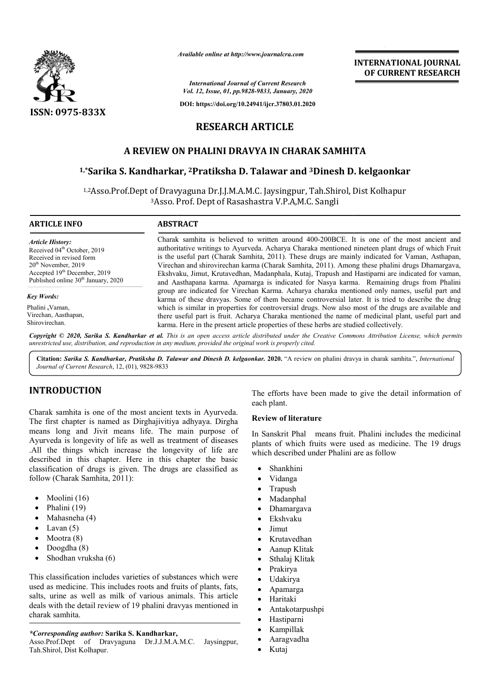

*Available online at http://www.journalcra.com*

# **RESEARCH ARTICLE**

# **A REVIEW ON PHALINI DRAVYA IN CHARAK SAMHITA**

# <sup>1,</sup>\*Sarika S. Kandharkar, <sup>2</sup>Pratiksha D. Talawar and <sup>3</sup>Dinesh D. kelgaonkar

|                                                                                                                                                                                                                                  |                                                                                                                                                                                                                                                                                                                                                                                                                                                                                                                                                                                                                                                                                                                                                                                                              |                                                                                                     | <b>INTERNATIONAL JOURNAL</b><br>OF CURRENT RESEARCH                                                                                                    |  |
|----------------------------------------------------------------------------------------------------------------------------------------------------------------------------------------------------------------------------------|--------------------------------------------------------------------------------------------------------------------------------------------------------------------------------------------------------------------------------------------------------------------------------------------------------------------------------------------------------------------------------------------------------------------------------------------------------------------------------------------------------------------------------------------------------------------------------------------------------------------------------------------------------------------------------------------------------------------------------------------------------------------------------------------------------------|-----------------------------------------------------------------------------------------------------|--------------------------------------------------------------------------------------------------------------------------------------------------------|--|
|                                                                                                                                                                                                                                  |                                                                                                                                                                                                                                                                                                                                                                                                                                                                                                                                                                                                                                                                                                                                                                                                              | <b>International Journal of Current Research</b><br>Vol. 12, Issue, 01, pp.9828-9833, January, 2020 |                                                                                                                                                        |  |
|                                                                                                                                                                                                                                  |                                                                                                                                                                                                                                                                                                                                                                                                                                                                                                                                                                                                                                                                                                                                                                                                              | DOI: https://doi.org/10.24941/ijcr.37803.01.2020                                                    |                                                                                                                                                        |  |
| <b>ISSN: 0975-833X</b>                                                                                                                                                                                                           | <b>RESEARCH ARTICLE</b>                                                                                                                                                                                                                                                                                                                                                                                                                                                                                                                                                                                                                                                                                                                                                                                      |                                                                                                     |                                                                                                                                                        |  |
|                                                                                                                                                                                                                                  | A REVIEW ON PHALINI DRAVYA IN CHARAK SAMHITA                                                                                                                                                                                                                                                                                                                                                                                                                                                                                                                                                                                                                                                                                                                                                                 |                                                                                                     |                                                                                                                                                        |  |
|                                                                                                                                                                                                                                  | <sup>1,*</sup> Sarika S. Kandharkar, <sup>2</sup> Pratiksha D. Talawar and <sup>3</sup> Dinesh D. kelgaonkar                                                                                                                                                                                                                                                                                                                                                                                                                                                                                                                                                                                                                                                                                                 |                                                                                                     |                                                                                                                                                        |  |
|                                                                                                                                                                                                                                  | <sup>1,2</sup> Asso.Prof.Dept of Dravyaguna Dr.J.J.M.A.M.C. Jaysingpur, Tah.Shirol, Dist Kolhapur<br><sup>3</sup> Asso. Prof. Dept of Rasashastra V.P.A,M.C. Sangli                                                                                                                                                                                                                                                                                                                                                                                                                                                                                                                                                                                                                                          |                                                                                                     |                                                                                                                                                        |  |
| <b>ARTICLE INFO</b>                                                                                                                                                                                                              | <b>ABSTRACT</b>                                                                                                                                                                                                                                                                                                                                                                                                                                                                                                                                                                                                                                                                                                                                                                                              |                                                                                                     |                                                                                                                                                        |  |
| <b>Article History:</b><br>Received 04 <sup>th</sup> October, 2019<br>Received in revised form<br>20 <sup>th</sup> November, 2019<br>Accepted 19 <sup>th</sup> December, 2019<br>Published online 30 <sup>th</sup> January, 2020 | Charak samhita is believed to written around 400-200BCE. It is one of the most ancient and<br>authoritative writings to Ayurveda. Acharya Charaka mentioned nineteen plant drugs of which Fruit<br>is the useful part (Charak Samhita, 2011). These drugs are mainly indicated for Vaman, Asthapan,<br>Virechan and shirovirechan karma (Charak Samhita, 2011). Among these phalini drugs Dhamargava,<br>Ekshvaku, Jimut, Krutavedhan, Madanphala, Kutaj, Trapush and Hastiparni are indicated for vaman,<br>and Aasthapana karma. Apamarga is indicated for Nasya karma. Remaining drugs from Phalini<br>group are indicated for Virechan Karma. Acharya charaka mentioned only names, useful part and<br>karma of these dravyas. Some of them became controversial later. It is tried to describe the drug |                                                                                                     |                                                                                                                                                        |  |
| <b>Key Words:</b>                                                                                                                                                                                                                |                                                                                                                                                                                                                                                                                                                                                                                                                                                                                                                                                                                                                                                                                                                                                                                                              |                                                                                                     |                                                                                                                                                        |  |
| Phalini ,Vaman,<br>Virechan, Aasthapan,<br>Shirovirechan.                                                                                                                                                                        | which is similar in properties for controversial drugs. Now also most of the drugs are available and<br>there useful part is fruit. Acharya Charaka mentioned the name of medicinal plant, useful part and<br>karma. Here in the present article properties of these herbs are studied collectively.                                                                                                                                                                                                                                                                                                                                                                                                                                                                                                         |                                                                                                     |                                                                                                                                                        |  |
| unrestricted use, distribution, and reproduction in any medium, provided the original work is properly cited.                                                                                                                    |                                                                                                                                                                                                                                                                                                                                                                                                                                                                                                                                                                                                                                                                                                                                                                                                              |                                                                                                     | Copyright © 2020, Sarika S. Kandharkar et al. This is an open access article distributed under the Creative Commons Attribution License, which permits |  |
| Journal of Current Research, 12, (01), 9828-9833                                                                                                                                                                                 |                                                                                                                                                                                                                                                                                                                                                                                                                                                                                                                                                                                                                                                                                                                                                                                                              |                                                                                                     | Citation: Sarika S. Kandharkar, Pratiksha D. Talawar and Dinesh D. kelgaonkar. 2020. "A review on phalini dravya in charak samhita.", International    |  |
| <b>INTRODUCTION</b>                                                                                                                                                                                                              |                                                                                                                                                                                                                                                                                                                                                                                                                                                                                                                                                                                                                                                                                                                                                                                                              | each plant.                                                                                         | The efforts have been made to give the detail information of                                                                                           |  |
| Charak samhita is one of the most ancient texts in Ayurveda.<br>The first chapter is named as Dirghajivitiya adhyaya. Dirgha                                                                                                     |                                                                                                                                                                                                                                                                                                                                                                                                                                                                                                                                                                                                                                                                                                                                                                                                              | <b>Review of literature</b>                                                                         |                                                                                                                                                        |  |
| means long and Jivit means life. The main purpose of<br>Ayurveda is longevity of life as well as treatment of diseases<br>.All the things which increase the longevity of life are                                               |                                                                                                                                                                                                                                                                                                                                                                                                                                                                                                                                                                                                                                                                                                                                                                                                              | which described under Phalini are as follow                                                         | In Sanskrit Phal means fruit. Phalini includes the medicinal<br>plants of which fruits were used as medicine. The 19 drugs                             |  |

# **INTRODUCTION**

Charak samhita is one of the most ancient texts in Ayurveda. The first chapter is named as Dirghajivitiya adhyaya. Dirgha means long and Jivit means life. The main purpose of Ayurveda is longevity of life as well as treatment of diseases .All the things which increase the longevity of life are described in this chapter. Here in this chapter the basic classification of drugs is given. The drugs are classified as follow (Charak Samhita, 2011):

- Moolini (16)
- Phalini (19)
- Mahasneha (4)
- Lavan (5)
- Mootra (8)
- $\bullet$  Doogdha  $(8)$
- Shodhan vruksha (6)

This classification includes varieties of substances which were used as medicine. This includes roots and fruits of plants, fats, salts, urine as well as milk of various animals. This article deals with the detail review of 19 phalini dravyas mentioned in charak samhita. cribed in this chapter. Here in this chapter the basic<br>ssification of drugs is given. The drugs are classified as<br>ow (Charak Samhita, 2011):<br>Moolini (16)<br>Phalini (19)<br>Mahasneha (4)<br>Lavan (5)<br>Mootra (8)<br>Doogdha (8)<br>Shodhan

#### *\*Corresponding author:* **Sarika S. Kandharkar,**

Asso.Prof.Dept of Dravyaguna Dr.J.J.M.A.M.C. Jaysingpur, Tah.Shirol, Dist Kolhapur.

## **Review of literature**

**FRECT THE EFROM THE EXECT THE EXECT THE SURFACT THE PROPRET THE PROPRET THE PROPRET THE PROPRET THE PROPRET THE DREVENT OF DRESS CHEREN CHEREN CHEREN CHEREN CHEREN CHEREN CHEREN SERVICE THE DRESS AND CHEREN CHEREN CHEREN** In Sanskrit Phal means fruit. Phalini includes the medicinal plants of which fruits were used as medicine. The 19 drugs which described under Phalini are as follow

- Shankhini
- Vidanga
- Trapush
- Madanphal
- Dhamargava
- Ekshvaku
- Jimut
- Krutavedhan
- Aanup Klitak
- Sthalaj Klitak
- Prakirya
- Udakirya
- Apamarga
- Haritaki
- Antakotarpushpi
- Hastiparni
- Kampillak
- Aaragvadha
- Kutaj
-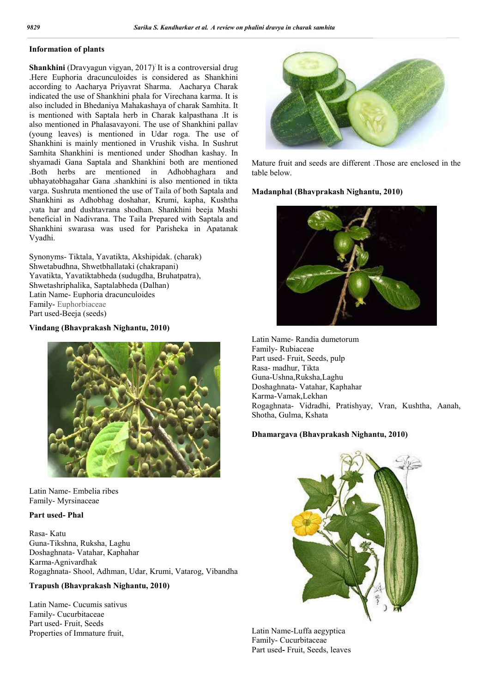## **Information of plants**

Shankhini (Dravyagun vigyan, 2017)<sup>:</sup> It is a controversial drug .Here Euphoria dracunculoides is considered as Shankhini according to Aacharya Priyavrat Sharma. Aacharya Charak indicated the use of Shankhini phala for Virechana karma. It is also included in Bhedaniya Mahakashaya of charak Samhita. It is mentioned with Saptala herb in Charak kalpasthana .It is also mentioned in Phalasavayoni. The use of Shankhini pallav (young leaves) is mentioned in Udar roga. The use of Shankhini is mainly mentioned in Vrushik visha. In Sushrut Samhita Shankhini is mentioned under Shodhan kashay. In shyamadi Gana Saptala and Shankhini both are mentioned .Both herbs are mentioned in Adhobhaghara and ubhayatobhagahar Gana .shankhini is also mentioned in tikta varga. Sushruta mentioned the use of Taila of both Saptala and Shankhini as Adhobhag doshahar, Krumi, kapha, Kushtha ,vata har and dushtavrana shodhan. Shankhini beeja Mashi beneficial in Nadivrana. The Taila Prepared with Saptala and Shankhini swarasa was used for Parisheka in Apatanak Vyadhi.

Synonyms- Tiktala, Yavatikta, Akshipidak. (charak) Shwetabudhna, Shwetbhallataki (chakrapani) Yavatikta, Yavatiktabheda (sudugdha, Bruhatpatra), Shwetashriphalika, Saptalabheda (Dalhan) Latin Name- Euphoria dracunculoides Family- Euphorbiaceae Part used-Beeja (seeds)

## **Vindang (Bhavprakash Nighantu, 2010)**



Latin Name- Embelia ribes Family- Myrsinaceae

### **Part used- Phal**

Rasa- Katu Guna-Tikshna, Ruksha, Laghu Doshaghnata- Vatahar, Kaphahar Karma-Agnivardhak Rogaghnata- Shool, Adhman, Udar, Krumi, Vatarog, Vibandha

### **Trapush (Bhavprakash Nighantu, 2010)**

Latin Name- Cucumis sativus Family- Cucurbitaceae Part used- Fruit, Seeds Properties of Immature fruit,



Mature fruit and seeds are different .Those are enclosed in the table below.

## **Madanphal (Bhavprakash Nighantu, 2010)**



Latin Name- Randia dumetorum Family- Rubiaceae Part used- Fruit, Seeds, pulp Rasa- madhur, Tikta Guna-Ushna,Ruksha,Laghu Doshaghnata- Vatahar, Kaphahar Karma-Vamak,Lekhan Rogaghnata- Vidradhi, Pratishyay, Vran, Kushtha, Aanah, Shotha, Gulma, Kshata

### **Dhamargava (Bhavprakash Nighantu, 2010)**



Latin Name-Luffa aegyptica Family- Cucurbitaceae Part used**-** Fruit, Seeds, leaves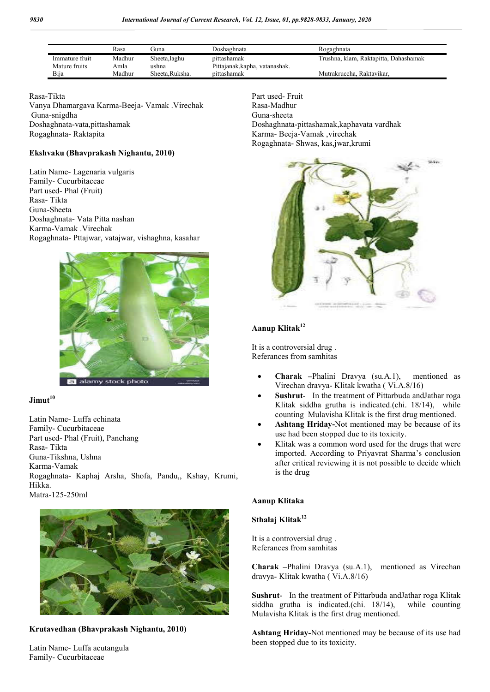|                | Rasa   | ( iuna         | Doshaghnata                    | Rogaghnata                            |
|----------------|--------|----------------|--------------------------------|---------------------------------------|
| Immature fruit | Madhur | Sheeta, laghu  | pittashamak                    | Trushna, klam, Raktapitta, Dahashamak |
| Mature fruits  | Amla   | ushna          | Pittajanak, kapha, vatanashak. |                                       |
| Bija           | Madhur | Sheeta.Ruksha. | pittashamak                    | Mutrakruccha, Raktavikar,             |

### Rasa-Tikta Vanya Dhamargava Karma-Beeja- Vamak .Virechak Guna-snigdha Doshaghnata-vata,pittashamak Rogaghnata- Raktapita

### **Ekshvaku (Bhavprakash Nighantu, 2010)**

Latin Name- Lagenaria vulgaris Family- Cucurbitaceae Part used- Phal (Fruit) Rasa- Tikta Guna-Sheeta Doshaghnata- Vata Pitta nashan Karma-Vamak .Virechak Rogaghnata- Pttajwar, vatajwar, vishaghna, kasahar



# **Jimut<sup>10</sup>**

Latin Name- Luffa echinata Family- Cucurbitaceae Part used- Phal (Fruit), Panchang Rasa- Tikta Guna-Tikshna, Ushna Karma-Vamak Rogaghnata- Kaphaj Arsha, Shofa, Pandu,, Kshay, Krumi, Hikka. Matra-125-250ml



**Krutavedhan (Bhavprakash Nighantu, 2010)**

Latin Name- Luffa acutangula Family- Cucurbitaceae

Part used- Fruit Rasa-Madhur Guna-sheeta Doshaghnata-pittashamak,kaphavata vardhak Karma- Beeja-Vamak ,virechak Rogaghnata- Shwas, kas,jwar,krumi



# **Aanup Klitak12**

It is a controversial drug . Referances from samhitas

- **Charak –**Phalini Dravya (su.A.1), mentioned as Virechan dravya- Klitak kwatha ( Vi.A.8/16)
- **Sushrut** In the treatment of Pittarbuda andJathar roga Klitak siddha grutha is indicated.(chi. 18/14), while counting Mulavisha Klitak is the first drug mentioned.
- **Ashtang Hriday-**Not mentioned may be because of its use had been stopped due to its toxicity.
- Klitak was a common word used for the drugs that were imported. According to Priyavrat Sharma's conclusion after critical reviewing it is not possible to decide which is the drug

### **Aanup Klitaka**

# **Sthalaj Klitak12**

It is a controversial drug . Referances from samhitas

**Charak –**Phalini Dravya (su.A.1), mentioned as Virechan dravya- Klitak kwatha ( Vi.A.8/16)

**Sushrut**- In the treatment of Pittarbuda andJathar roga Klitak siddha grutha is indicated.(chi. 18/14), while counting Mulavisha Klitak is the first drug mentioned.

**Ashtang Hriday-**Not mentioned may be because of its use had been stopped due to its toxicity.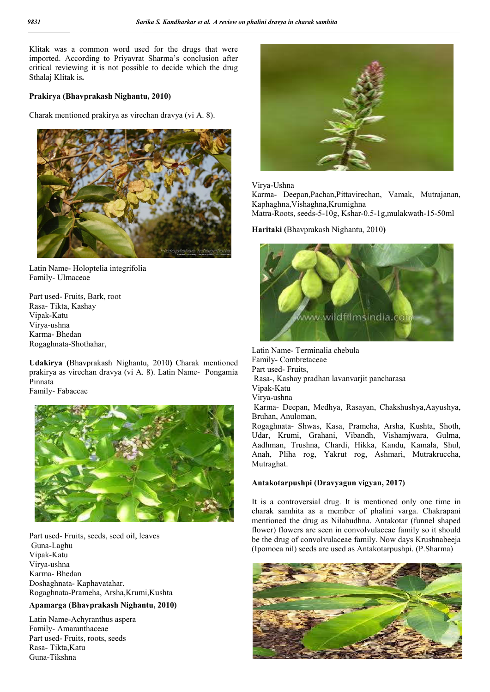Klitak was a common word used for the drugs that were imported. According to Priyavrat Sharma's conclusion after critical reviewing it is not possible to decide which the drug Sthalaj Klitak is**.**

### **Prakirya (Bhavprakash Nighantu, 2010)**

Charak mentioned prakirya as virechan dravya (vi A. 8).



Latin Name- Holoptelia integrifolia Family- Ulmaceae

Part used- Fruits, Bark, root Rasa- Tikta, Kashay Vipak-Katu Virya-ushna Karma- Bhedan Rogaghnata-Shothahar,

**Udakirya (**Bhavprakash Nighantu, 2010**)** Charak mentioned prakirya as virechan dravya (vi A. 8). Latin Name- Pongamia Pinnata

Family- Fabaceae



Part used- Fruits, seeds, seed oil, leaves Guna-Laghu Vipak-Katu Virya-ushna Karma- Bhedan Doshaghnata- Kaphavatahar. Rogaghnata-Prameha, Arsha,Krumi,Kushta

### **Apamarga (Bhavprakash Nighantu, 2010)**

Latin Name-Achyranthus aspera Family- Amaranthaceae Part used- Fruits, roots, seeds Rasa- Tikta,Katu Guna-Tikshna



#### Virya-Ushna

Karma- Deepan,Pachan,Pittavirechan, Vamak, Mutrajanan, Kaphaghna,Vishaghna,Krumighna

Matra-Roots, seeds-5-10g, Kshar-0.5-1g,mulakwath-15-50ml

## **Haritaki (**Bhavprakash Nighantu, 2010**)**



Latin Name- Terminalia chebula Family- Combretaceae Part used- Fruits, Rasa-, Kashay pradhan lavanvarjit pancharasa Vipak-Katu Virya-ushna Karma- Deepan, Medhya, Rasayan, Chakshushya,Aayushya, Bruhan, Anuloman, Rogaghnata- Shwas, Kasa, Prameha, Arsha, Kushta, Shoth,

Udar, Krumi, Grahani, Vibandh, Vishamjwara, Gulma, Aadhman, Trushna, Chardi, Hikka, Kandu, Kamala, Shul, Anah, Pliha rog, Yakrut rog, Ashmari, Mutrakruccha, Mutraghat.

### **Antakotarpushpi (Dravyagun vigyan, 2017)**

It is a controversial drug. It is mentioned only one time in charak samhita as a member of phalini varga. Chakrapani mentioned the drug as Nilabudhna. Antakotar (funnel shaped flower) flowers are seen in convolvulaceae family so it should be the drug of convolvulaceae family. Now days Krushnabeeja (Ipomoea nil) seeds are used as Antakotarpushpi. (P.Sharma)

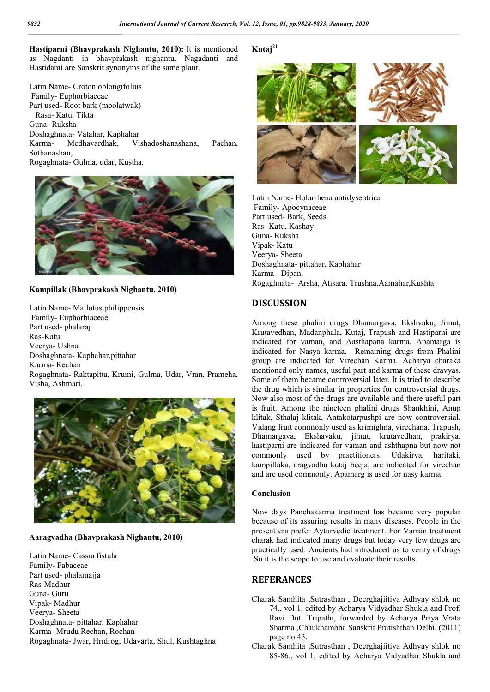**Hastiparni (Bhavprakash Nighantu, 2010):** It is mentioned as Nagdanti in bhavprakash nighantu. Nagadanti and Hastidanti are Sanskrit synonyms of the same plant.

Latin Name- Croton oblongifolius Family- Euphorbiaceae Part used- Root bark (moolatwak) Rasa- Katu, Tikta Guna- Ruksha Doshaghnata- Vatahar, Kaphahar Karma- Medhavardhak, Vishadoshanashana, Pachan, Sothanashan, Rogaghnata- Gulma, udar, Kustha.



#### **Kampillak (Bhavprakash Nighantu, 2010)**

Latin Name- Mallotus philippensis Family- Euphorbiaceae Part used- phalaraj Ras-Katu Veerya- Ushna Doshaghnata- Kaphahar,pittahar Karma- Rechan Rogaghnata- Raktapitta, Krumi, Gulma, Udar, Vran, Prameha, Visha, Ashmari.



### **Aaragvadha (Bhavprakash Nighantu, 2010)**

Latin Name- Cassia fistula Family- Fabaceae Part used- phalamajja Ras-Madhur Guna- Guru Vipak- Madhur Veerya- Sheeta Doshaghnata- pittahar, Kaphahar Karma- Mrudu Rechan, Rochan Rogaghnata- Jwar, Hridrog, Udavarta, Shul, Kushtaghna

## **Kutaj<sup>21</sup>**



Latin Name- Holarrhena antidysentrica Family- Apocynaceae Part used- Bark, Seeds Ras- Katu, Kashay Guna- Ruksha Vipak- Katu Veerya- Sheeta Doshaghnata- pittahar, Kaphahar Karma- Dipan, Rogaghnata- Arsha, Atisara, Trushna,Aamahar,Kushta

# **DISCUSSION**

Among these phalini drugs Dhamargava, Ekshvaku, Jimut, Krutavedhan, Madanphala, Kutaj, Trapush and Hastiparni are indicated for vaman, and Aasthapana karma. Apamarga is indicated for Nasya karma. Remaining drugs from Phalini group are indicated for Virechan Karma. Acharya charaka mentioned only names, useful part and karma of these dravyas. Some of them became controversial later. It is tried to describe the drug which is similar in properties for controversial drugs. Now also most of the drugs are available and there useful part is fruit. Among the nineteen phalini drugs Shankhini, Anup klitak, Sthalaj klitak, Antakotarpushpi are now controversial. Vidang fruit commonly used as krimighna, virechana. Trapush, Dhamargava, Ekshavaku, jimut, krutavedhan, prakirya, hastiparni are indicated for vaman and ashthapna but now not commonly used by practitioners. Udakirya, haritaki, kampillaka, aragvadha kutaj beeja, are indicated for virechan and are used commonly. Apamarg is used for nasy karma.

#### **Conclusion**

Now days Panchakarma treatment has became very popular because of its assuring results in many diseases. People in the present era prefer Ayturvedic treatment. For Vaman treatment charak had indicated many drugs but today very few drugs are practically used. Ancients had introduced us to verity of drugs .So it is the scope to use and evaluate their results.

## **REFERANCES**

- Charak Samhita ,Sutrasthan , Deerghajiitiya Adhyay shlok no 74., vol 1, edited by Acharya Vidyadhar Shukla and Prof. Ravi Dutt Tripathi, forwarded by Acharya Priya Vrata Sharma ,Chaukhambha Sanskrit Pratishthan Delhi. (2011) page no.43.
- Charak Samhita ,Sutrasthan , Deerghajiitiya Adhyay shlok no 85-86., vol 1, edited by Acharya Vidyadhar Shukla and